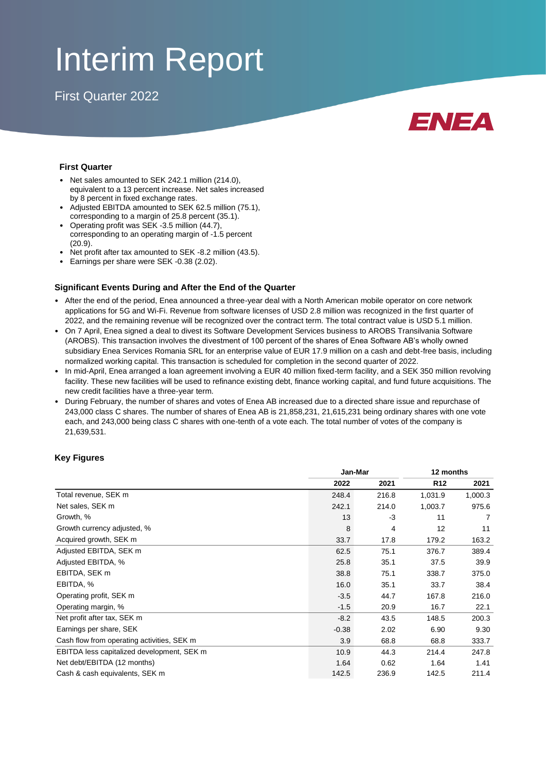# Interim Report

First Quarter 2022



### **First Quarter**

- Net sales amounted to SEK 242.1 million (214.0), equivalent to a 13 percent increase. Net sales increased by 8 percent in fixed exchange rates.
- Adjusted EBITDA amounted to SEK 62.5 million (75.1), corresponding to a margin of 25.8 percent (35.1).
- Operating profit was SEK -3.5 million (44.7), corresponding to an operating margin of -1.5 percent (20.9).
- Net profit after tax amounted to SEK -8.2 million (43.5).
- Earnings per share were SEK -0.38 (2.02).

### **Significant Events During and After the End of the Quarter**

- After the end of the period, Enea announced a three-year deal with a North American mobile operator on core network applications for 5G and Wi-Fi. Revenue from software licenses of USD 2.8 million was recognized in the first quarter of 2022, and the remaining revenue will be recognized over the contract term. The total contract value is USD 5.1 million.
- On 7 April, Enea signed a deal to divest its Software Development Services business to AROBS Transilvania Software (AROBS). This transaction involves the divestment of 100 percent of the shares of Enea Software AB's wholly owned subsidiary Enea Services Romania SRL for an enterprise value of EUR 17.9 million on a cash and debt-free basis, including normalized working capital. This transaction is scheduled for completion in the second quarter of 2022.
- In mid-April, Enea arranged a loan agreement involving a EUR 40 million fixed-term facility, and a SEK 350 million revolving facility. These new facilities will be used to refinance existing debt, finance working capital, and fund future acquisitions. The new credit facilities have a three-year term.
- During February, the number of shares and votes of Enea AB increased due to a directed share issue and repurchase of 243,000 class C shares. The number of shares of Enea AB is 21,858,231, 21,615,231 being ordinary shares with one vote each, and 243,000 being class C shares with one-tenth of a vote each. The total number of votes of the company is 21,639,531.

### **Key Figures**

|                                            |         | Jan-Mar | 12 months       |         |  |
|--------------------------------------------|---------|---------|-----------------|---------|--|
|                                            | 2022    | 2021    | R <sub>12</sub> | 2021    |  |
| Total revenue, SEK m                       | 248.4   | 216.8   | 1,031.9         | 1,000.3 |  |
| Net sales, SEK m                           | 242.1   | 214.0   | 1,003.7         | 975.6   |  |
| Growth, %                                  | 13      | $-3$    | 11              |         |  |
| Growth currency adjusted, %                | 8       | 4       | 12              | 11      |  |
| Acquired growth, SEK m                     | 33.7    | 17.8    | 179.2           | 163.2   |  |
| Adjusted EBITDA, SEK m                     | 62.5    | 75.1    | 376.7           | 389.4   |  |
| Adjusted EBITDA, %                         | 25.8    | 35.1    | 37.5            | 39.9    |  |
| EBITDA, SEK m                              | 38.8    | 75.1    | 338.7           | 375.0   |  |
| EBITDA, %                                  | 16.0    | 35.1    | 33.7            | 38.4    |  |
| Operating profit, SEK m                    | $-3.5$  | 44.7    | 167.8           | 216.0   |  |
| Operating margin, %                        | $-1.5$  | 20.9    | 16.7            | 22.1    |  |
| Net profit after tax, SEK m                | $-8.2$  | 43.5    | 148.5           | 200.3   |  |
| Earnings per share, SEK                    | $-0.38$ | 2.02    | 6.90            | 9.30    |  |
| Cash flow from operating activities, SEK m | 3.9     | 68.8    | 68.8            | 333.7   |  |
| EBITDA less capitalized development, SEK m | 10.9    | 44.3    | 214.4           | 247.8   |  |
| Net debt/EBITDA (12 months)                | 1.64    | 0.62    | 1.64            | 1.41    |  |
| Cash & cash equivalents, SEK m             | 142.5   | 236.9   | 142.5           | 211.4   |  |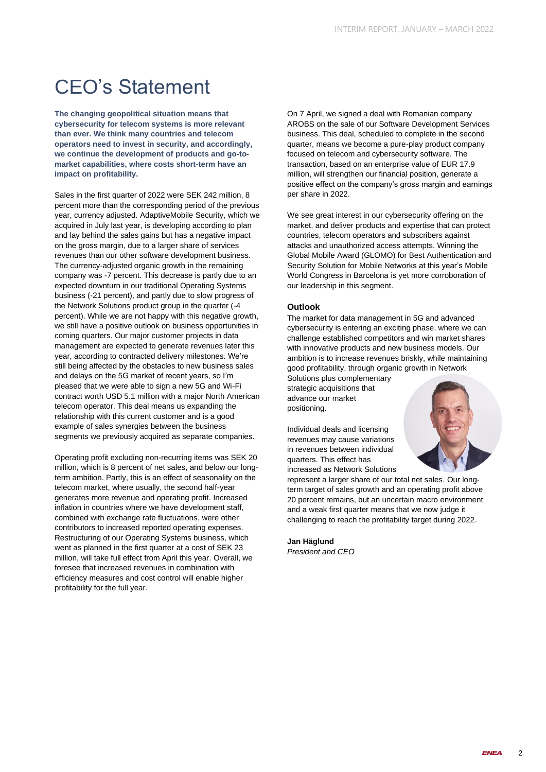### CEO's Statement

**The changing geopolitical situation means that cybersecurity for telecom systems is more relevant than ever. We think many countries and telecom operators need to invest in security, and accordingly, we continue the development of products and go-tomarket capabilities, where costs short-term have an impact on profitability.**

Sales in the first quarter of 2022 were SEK 242 million, 8 percent more than the corresponding period of the previous year, currency adjusted. AdaptiveMobile Security, which we acquired in July last year, is developing according to plan and lay behind the sales gains but has a negative impact on the gross margin, due to a larger share of services revenues than our other software development business. The currency-adjusted organic growth in the remaining company was -7 percent. This decrease is partly due to an expected downturn in our traditional Operating Systems business (-21 percent), and partly due to slow progress of the Network Solutions product group in the quarter (-4 percent). While we are not happy with this negative growth, we still have a positive outlook on business opportunities in coming quarters. Our major customer projects in data management are expected to generate revenues later this year, according to contracted delivery milestones. We're still being affected by the obstacles to new business sales and delays on the 5G market of recent years, so I'm pleased that we were able to sign a new 5G and Wi-Fi contract worth USD 5.1 million with a major North American telecom operator. This deal means us expanding the relationship with this current customer and is a good example of sales synergies between the business segments we previously acquired as separate companies.

Operating profit excluding non-recurring items was SEK 20 million, which is 8 percent of net sales, and below our longterm ambition. Partly, this is an effect of seasonality on the telecom market, where usually, the second half-year generates more revenue and operating profit. Increased inflation in countries where we have development staff, combined with exchange rate fluctuations, were other contributors to increased reported operating expenses. Restructuring of our Operating Systems business, which went as planned in the first quarter at a cost of SEK 23 million, will take full effect from April this year. Overall, we foresee that increased revenues in combination with efficiency measures and cost control will enable higher profitability for the full year.

On 7 April, we signed a deal with Romanian company AROBS on the sale of our Software Development Services business. This deal, scheduled to complete in the second quarter, means we become a pure-play product company focused on telecom and cybersecurity software. The transaction, based on an enterprise value of EUR 17.9 million, will strengthen our financial position, generate a positive effect on the company's gross margin and earnings per share in 2022.

We see great interest in our cybersecurity offering on the market, and deliver products and expertise that can protect countries, telecom operators and subscribers against attacks and unauthorized access attempts. Winning the Global Mobile Award (GLOMO) for Best Authentication and Security Solution for Mobile Networks at this year's Mobile World Congress in Barcelona is yet more corroboration of our leadership in this segment.

### **Outlook**

The market for data management in 5G and advanced cybersecurity is entering an exciting phase, where we can challenge established competitors and win market shares with innovative products and new business models. Our ambition is to increase revenues briskly, while maintaining good profitability, through organic growth in Network

Solutions plus complementary strategic acquisitions that advance our market positioning.

Individual deals and licensing revenues may cause variations in revenues between individual quarters. This effect has increased as Network Solutions

represent a larger share of our total net sales. Our longterm target of sales growth and an operating profit above 20 percent remains, but an uncertain macro environment and a weak first quarter means that we now judge it challenging to reach the profitability target during 2022.

**Jan Häglund** *President and CEO*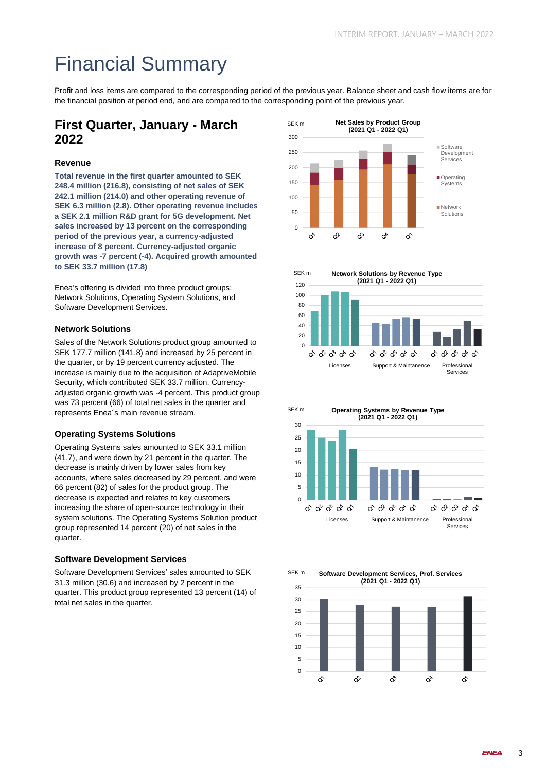# Financial Summary

Profit and loss items are compared to the corresponding period of the previous year. Balance sheet and cash flow items are for the financial position at period end, and are compared to the corresponding point of the previous year.

### **First Quarter, January - March 2022**

### **Revenue**

**Total revenue in the first quarter amounted to SEK 248.4 million (216.8), consisting of net sales of SEK 242.1 million (214.0) and other operating revenue of SEK 6.3 million (2.8). Other operating revenue includes a SEK 2.1 million R&D grant for 5G development. Net sales increased by 13 percent on the corresponding period of the previous year, a currency-adjusted increase of 8 percent. Currency-adjusted organic growth was -7 percent (-4). Acquired growth amounted to SEK 33.7 million (17.8)**

Enea's offering is divided into three product groups: Network Solutions, Operating System Solutions, and Software Development Services.

### **Network Solutions**

Sales of the Network Solutions product group amounted to SEK 177.7 million (141.8) and increased by 25 percent in the quarter, or by 19 percent currency adjusted. The increase is mainly due to the acquisition of AdaptiveMobile Security, which contributed SEK 33.7 million. Currencyadjusted organic growth was -4 percent. This product group was 73 percent (66) of total net sales in the quarter and represents Enea´s main revenue stream.

### **Operating Systems Solutions**

Operating Systems sales amounted to SEK 33.1 million (41.7), and were down by 21 percent in the quarter. The decrease is mainly driven by lower sales from key accounts, where sales decreased by 29 percent, and were 66 percent (82) of sales for the product group. The decrease is expected and relates to key customers increasing the share of open-source technology in their system solutions. The Operating Systems Solution product group represented 14 percent (20) of net sales in the quarter.

### **Software Development Services**

Software Development Services' sales amounted to SEK 31.3 million (30.6) and increased by 2 percent in the quarter. This product group represented 13 percent (14) of total net sales in the quarter.







**Software Development Services, Prof. Services** SEK m

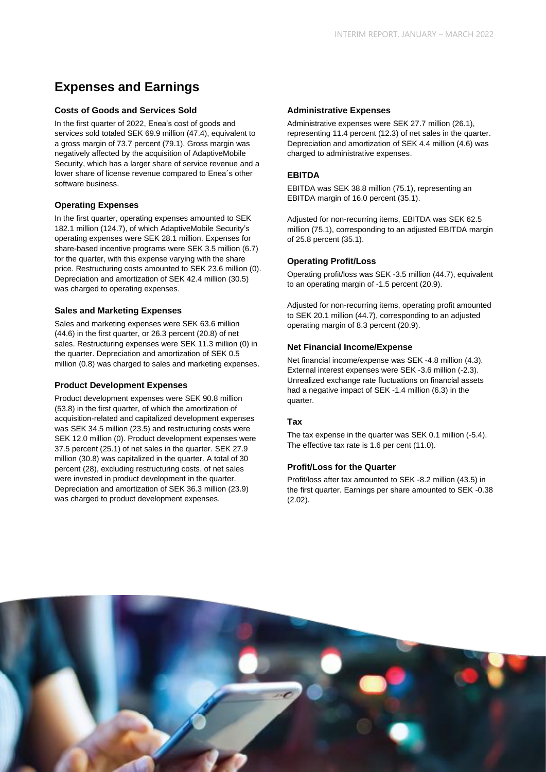### **Expenses and Earnings**

### **Costs of Goods and Services Sold**

In the first quarter of 2022, Enea's cost of goods and services sold totaled SEK 69.9 million (47.4), equivalent to a gross margin of 73.7 percent (79.1). Gross margin was negatively affected by the acquisition of AdaptiveMobile Security, which has a larger share of service revenue and a lower share of license revenue compared to Enea´s other software business.

### **Operating Expenses**

In the first quarter, operating expenses amounted to SEK 182.1 million (124.7), of which AdaptiveMobile Security's operating expenses were SEK 28.1 million. Expenses for share-based incentive programs were SEK 3.5 million (6.7) for the quarter, with this expense varying with the share price. Restructuring costs amounted to SEK 23.6 million (0). Depreciation and amortization of SEK 42.4 million (30.5) was charged to operating expenses.

### **Sales and Marketing Expenses**

Sales and marketing expenses were SEK 63.6 million (44.6) in the first quarter, or 26.3 percent (20.8) of net sales. Restructuring expenses were SEK 11.3 million (0) in the quarter. Depreciation and amortization of SEK 0.5 million (0.8) was charged to sales and marketing expenses.

### **Product Development Expenses**

Product development expenses were SEK 90.8 million (53.8) in the first quarter, of which the amortization of acquisition-related and capitalized development expenses was SEK 34.5 million (23.5) and restructuring costs were SEK 12.0 million (0). Product development expenses were 37.5 percent (25.1) of net sales in the quarter. SEK 27.9 million (30.8) was capitalized in the quarter. A total of 30 percent (28), excluding restructuring costs, of net sales were invested in product development in the quarter. Depreciation and amortization of SEK 36.3 million (23.9) was charged to product development expenses.

### **Administrative Expenses**

Administrative expenses were SEK 27.7 million (26.1), representing 11.4 percent (12.3) of net sales in the quarter. Depreciation and amortization of SEK 4.4 million (4.6) was charged to administrative expenses.

### **EBITDA**

EBITDA was SEK 38.8 million (75.1), representing an EBITDA margin of 16.0 percent (35.1).

Adjusted for non-recurring items, EBITDA was SEK 62.5 million (75.1), corresponding to an adjusted EBITDA margin of 25.8 percent (35.1).

### **Operating Profit/Loss**

Operating profit/loss was SEK -3.5 million (44.7), equivalent to an operating margin of -1.5 percent (20.9).

Adjusted for non-recurring items, operating profit amounted to SEK 20.1 million (44.7), corresponding to an adjusted operating margin of 8.3 percent (20.9).

### **Net Financial Income/Expense**

Net financial income/expense was SEK -4.8 million (4.3). External interest expenses were SEK -3.6 million (-2.3). Unrealized exchange rate fluctuations on financial assets had a negative impact of SEK -1.4 million (6.3) in the quarter.

### **Tax**

The tax expense in the quarter was SEK 0.1 million (-5.4). The effective tax rate is 1.6 per cent (11.0).

### **Profit/Loss for the Quarter**

Profit/loss after tax amounted to SEK -8.2 million (43.5) in the first quarter. Earnings per share amounted to SEK -0.38 (2.02).

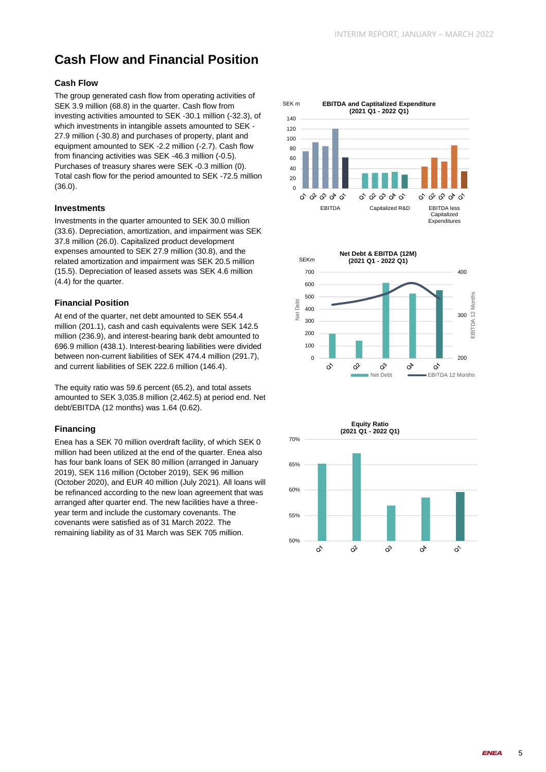### **Cash Flow and Financial Position**

### **Cash Flow**

The group generated cash flow from operating activities of SEK 3.9 million (68.8) in the quarter. Cash flow from investing activities amounted to SEK -30.1 million (-32.3), of which investments in intangible assets amounted to SEK - 27.9 million (-30.8) and purchases of property, plant and equipment amounted to SEK -2.2 million (-2.7). Cash flow from financing activities was SEK -46.3 million (-0.5). Purchases of treasury shares were SEK -0.3 million (0). Total cash flow for the period amounted to SEK -72.5 million (36.0).

### **Investments**

Investments in the quarter amounted to SEK 30.0 million (33.6). Depreciation, amortization, and impairment was SEK 37.8 million (26.0). Capitalized product development expenses amounted to SEK 27.9 million (30.8), and the related amortization and impairment was SEK 20.5 million (15.5). Depreciation of leased assets was SEK 4.6 million (4.4) for the quarter.

### **Financial Position**

At end of the quarter, net debt amounted to SEK 554.4 million (201.1), cash and cash equivalents were SEK 142.5 million (236.9), and interest-bearing bank debt amounted to 696.9 million (438.1). Interest-bearing liabilities were divided between non-current liabilities of SEK 474.4 million (291.7), and current liabilities of SEK 222.6 million (146.4).

The equity ratio was 59.6 percent (65.2), and total assets amounted to SEK 3,035.8 million (2,462.5) at period end. Net debt/EBITDA (12 months) was 1.64 (0.62).

### **Financing**

Enea has a SEK 70 million overdraft facility, of which SEK 0 million had been utilized at the end of the quarter. Enea also has four bank loans of SEK 80 million (arranged in January 2019), SEK 116 million (October 2019), SEK 96 million (October 2020), and EUR 40 million (July 2021). All loans will be refinanced according to the new loan agreement that was arranged after quarter end. The new facilities have a threeyear term and include the customary covenants. The covenants were satisfied as of 31 March 2022. The remaining liability as of 31 March was SEK 705 million.



50%

 $\mathcal{L}$ 

 $\hat{\alpha}^{\prime}$ 

ನಿ

 $\alpha^{\triangleright}$ 

 $\hat{C}$ 

55%

**FNFA** 

5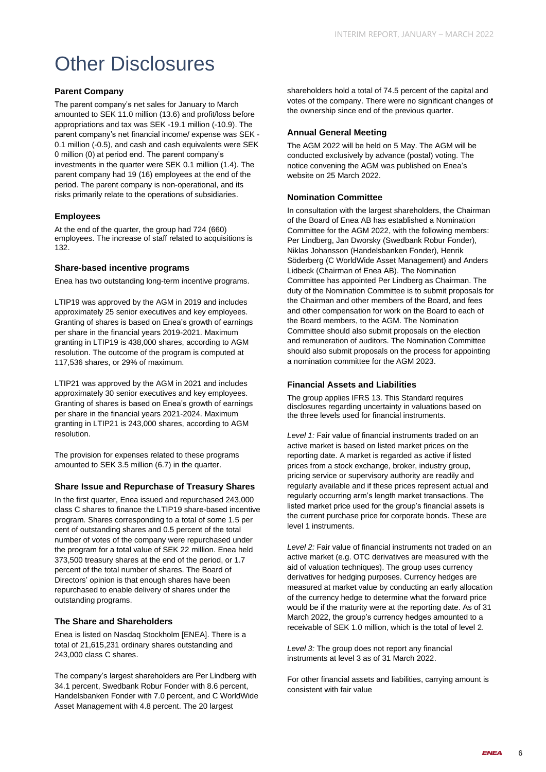### Other Disclosures

### **Parent Company**

The parent company's net sales for January to March amounted to SEK 11.0 million (13.6) and profit/loss before appropriations and tax was SEK -19.1 million (-10.9). The parent company's net financial income/ expense was SEK - 0.1 million (-0.5), and cash and cash equivalents were SEK 0 million (0) at period end. The parent company's investments in the quarter were SEK 0.1 million (1.4). The parent company had 19 (16) employees at the end of the period. The parent company is non-operational, and its risks primarily relate to the operations of subsidiaries.

### **Employees**

At the end of the quarter, the group had 724 (660) employees. The increase of staff related to acquisitions is 132.

### **Share-based incentive programs**

Enea has two outstanding long-term incentive programs.

LTIP19 was approved by the AGM in 2019 and includes approximately 25 senior executives and key employees. Granting of shares is based on Enea's growth of earnings per share in the financial years 2019-2021. Maximum granting in LTIP19 is 438,000 shares, according to AGM resolution. The outcome of the program is computed at 117,536 shares, or 29% of maximum.

LTIP21 was approved by the AGM in 2021 and includes approximately 30 senior executives and key employees. Granting of shares is based on Enea's growth of earnings per share in the financial years 2021-2024. Maximum granting in LTIP21 is 243,000 shares, according to AGM resolution.

The provision for expenses related to these programs amounted to SEK 3.5 million (6.7) in the quarter.

### **Share Issue and Repurchase of Treasury Shares**

In the first quarter, Enea issued and repurchased 243,000 class C shares to finance the LTIP19 share-based incentive program. Shares corresponding to a total of some 1.5 per cent of outstanding shares and 0.5 percent of the total number of votes of the company were repurchased under the program for a total value of SEK 22 million. Enea held 373,500 treasury shares at the end of the period, or 1.7 percent of the total number of shares. The Board of Directors' opinion is that enough shares have been repurchased to enable delivery of shares under the outstanding programs.

### **The Share and Shareholders**

Enea is listed on Nasdaq Stockholm [ENEA]. There is a total of 21,615,231 ordinary shares outstanding and 243,000 class C shares.

The company's largest shareholders are Per Lindberg with 34.1 percent, Swedbank Robur Fonder with 8.6 percent, Handelsbanken Fonder with 7.0 percent, and C WorldWide Asset Management with 4.8 percent. The 20 largest

shareholders hold a total of 74.5 percent of the capital and votes of the company. There were no significant changes of the ownership since end of the previous quarter.

### **Annual General Meeting**

The AGM 2022 will be held on 5 May. The AGM will be conducted exclusively by advance (postal) voting. The notice convening the AGM was published on Enea's website on 25 March 2022.

### **Nomination Committee**

In consultation with the largest shareholders, the Chairman of the Board of Enea AB has established a Nomination Committee for the AGM 2022, with the following members: Per Lindberg, Jan Dworsky (Swedbank Robur Fonder), Niklas Johansson (Handelsbanken Fonder), Henrik Söderberg (C WorldWide Asset Management) and Anders Lidbeck (Chairman of Enea AB). The Nomination Committee has appointed Per Lindberg as Chairman. The duty of the Nomination Committee is to submit proposals for the Chairman and other members of the Board, and fees and other compensation for work on the Board to each of the Board members, to the AGM. The Nomination Committee should also submit proposals on the election and remuneration of auditors. The Nomination Committee should also submit proposals on the process for appointing a nomination committee for the AGM 2023.

### **Financial Assets and Liabilities**

The group applies IFRS 13. This Standard requires disclosures regarding uncertainty in valuations based on the three levels used for financial instruments.

*Level 1:* Fair value of financial instruments traded on an active market is based on listed market prices on the reporting date. A market is regarded as active if listed prices from a stock exchange, broker, industry group, pricing service or supervisory authority are readily and regularly available and if these prices represent actual and regularly occurring arm's length market transactions. The listed market price used for the group's financial assets is the current purchase price for corporate bonds. These are level 1 instruments.

*Level 2:* Fair value of financial instruments not traded on an active market (e.g. OTC derivatives are measured with the aid of valuation techniques). The group uses currency derivatives for hedging purposes. Currency hedges are measured at market value by conducting an early allocation of the currency hedge to determine what the forward price would be if the maturity were at the reporting date. As of 31 March 2022, the group's currency hedges amounted to a receivable of SEK 1.0 million, which is the total of level 2.

*Level 3:* The group does not report any financial instruments at level 3 as of 31 March 2022.

For other financial assets and liabilities, carrying amount is consistent with fair value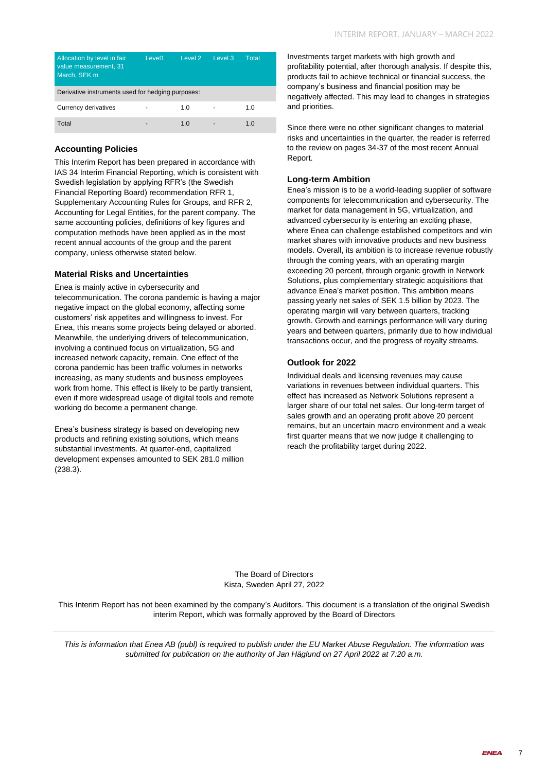| Allocation by level in fair<br>value measurement, 31<br>March, SEK m | Level1 | Level 2 | Level 3 | Total |  |  |
|----------------------------------------------------------------------|--------|---------|---------|-------|--|--|
| Derivative instruments used for hedging purposes:                    |        |         |         |       |  |  |
| Currency derivatives                                                 |        | 1.0     |         | 1.0   |  |  |
| Total                                                                |        | 1.0     |         | 1.0   |  |  |

### **Accounting Policies**

This Interim Report has been prepared in accordance with IAS 34 Interim Financial Reporting, which is consistent with Swedish legislation by applying RFR's (the Swedish Financial Reporting Board) recommendation RFR 1, Supplementary Accounting Rules for Groups, and RFR 2, Accounting for Legal Entities, for the parent company. The same accounting policies, definitions of key figures and computation methods have been applied as in the most recent annual accounts of the group and the parent company, unless otherwise stated below.

### **Material Risks and Uncertainties**

Enea is mainly active in cybersecurity and telecommunication. The corona pandemic is having a major negative impact on the global economy, affecting some customers' risk appetites and willingness to invest. For Enea, this means some projects being delayed or aborted. Meanwhile, the underlying drivers of telecommunication, involving a continued focus on virtualization, 5G and increased network capacity, remain. One effect of the corona pandemic has been traffic volumes in networks increasing, as many students and business employees work from home. This effect is likely to be partly transient, even if more widespread usage of digital tools and remote working do become a permanent change.

Enea's business strategy is based on developing new products and refining existing solutions, which means substantial investments. At quarter-end, capitalized development expenses amounted to SEK 281.0 million (238.3).

Investments target markets with high growth and profitability potential, after thorough analysis. If despite this, products fail to achieve technical or financial success, the company's business and financial position may be negatively affected. This may lead to changes in strategies and priorities.

Since there were no other significant changes to material risks and uncertainties in the quarter, the reader is referred to the review on pages 34-37 of the most recent Annual Report.

### **Long-term Ambition**

Enea's mission is to be a world-leading supplier of software components for telecommunication and cybersecurity. The market for data management in 5G, virtualization, and advanced cybersecurity is entering an exciting phase, where Enea can challenge established competitors and win market shares with innovative products and new business models. Overall, its ambition is to increase revenue robustly through the coming years, with an operating margin exceeding 20 percent, through organic growth in Network Solutions, plus complementary strategic acquisitions that advance Enea's market position. This ambition means passing yearly net sales of SEK 1.5 billion by 2023. The operating margin will vary between quarters, tracking growth. Growth and earnings performance will vary during years and between quarters, primarily due to how individual transactions occur, and the progress of royalty streams.

### **Outlook for 2022**

Individual deals and licensing revenues may cause variations in revenues between individual quarters. This effect has increased as Network Solutions represent a larger share of our total net sales. Our long-term target of sales growth and an operating profit above 20 percent remains, but an uncertain macro environment and a weak first quarter means that we now judge it challenging to reach the profitability target during 2022.

The Board of Directors Kista, Sweden April 27, 2022

This Interim Report has not been examined by the company's Auditors*.* This document is a translation of the original Swedish interim Report, which was formally approved by the Board of Directors

*This is information that Enea AB (publ) is required to publish under the EU Market Abuse Regulation. The information was submitted for publication on the authority of Jan Häglund on 27 April 2022 at 7:20 a.m.*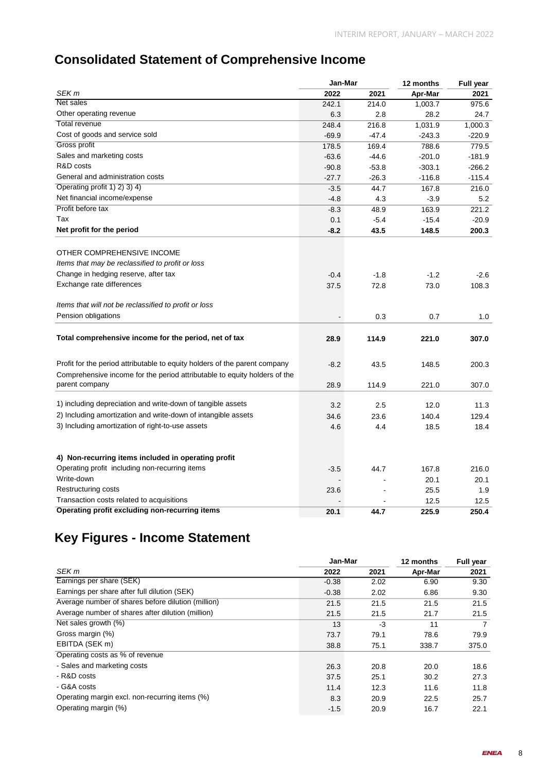### **Consolidated Statement of Comprehensive Income**

|                                                                            | Jan-Mar |         | 12 months | Full year |  |
|----------------------------------------------------------------------------|---------|---------|-----------|-----------|--|
| SEK <sub>m</sub>                                                           | 2022    | 2021    | Apr-Mar   | 2021      |  |
| Net sales                                                                  | 242.1   | 214.0   | 1,003.7   | 975.6     |  |
| Other operating revenue                                                    | 6.3     | 2.8     | 28.2      | 24.7      |  |
| <b>Total revenue</b>                                                       | 248.4   | 216.8   | 1,031.9   | 1,000.3   |  |
| Cost of goods and service sold                                             | $-69.9$ | $-47.4$ | $-243.3$  | $-220.9$  |  |
| Gross profit                                                               | 178.5   | 169.4   | 788.6     | 779.5     |  |
| Sales and marketing costs                                                  | $-63.6$ | $-44.6$ | $-201.0$  | $-181.9$  |  |
| R&D costs                                                                  | $-90.8$ | $-53.8$ | $-303.1$  | $-266.2$  |  |
| General and administration costs                                           | $-27.7$ | $-26.3$ | $-116.8$  | $-115.4$  |  |
| Operating profit 1) 2) 3) 4)                                               | $-3.5$  | 44.7    | 167.8     | 216.0     |  |
| Net financial income/expense                                               | $-4.8$  | 4.3     | $-3.9$    | 5.2       |  |
| Profit before tax                                                          | $-8.3$  | 48.9    | 163.9     | 221.2     |  |
| Tax                                                                        | 0.1     | $-5.4$  | $-15.4$   | $-20.9$   |  |
| Net profit for the period                                                  | $-8.2$  | 43.5    | 148.5     | 200.3     |  |
|                                                                            |         |         |           |           |  |
| OTHER COMPREHENSIVE INCOME                                                 |         |         |           |           |  |
| Items that may be reclassified to profit or loss                           |         |         |           |           |  |
| Change in hedging reserve, after tax                                       | $-0.4$  | $-1.8$  | $-1.2$    | $-2.6$    |  |
| Exchange rate differences                                                  | 37.5    | 72.8    | 73.0      | 108.3     |  |
| Items that will not be reclassified to profit or loss                      |         |         |           |           |  |
| Pension obligations                                                        |         | 0.3     | 0.7       | 1.0       |  |
| Total comprehensive income for the period, net of tax                      |         |         |           |           |  |
|                                                                            | 28.9    | 114.9   | 221.0     | 307.0     |  |
| Profit for the period attributable to equity holders of the parent company | $-8.2$  | 43.5    | 148.5     | 200.3     |  |
| Comprehensive income for the period attributable to equity holders of the  |         |         |           |           |  |
| parent company                                                             | 28.9    | 114.9   | 221.0     | 307.0     |  |
| 1) including depreciation and write-down of tangible assets                | 3.2     | 2.5     | 12.0      | 11.3      |  |
| 2) Including amortization and write-down of intangible assets              |         |         |           |           |  |
| 3) Including amortization of right-to-use assets                           | 34.6    | 23.6    | 140.4     | 129.4     |  |
|                                                                            | 4.6     | 4.4     | 18.5      | 18.4      |  |
|                                                                            |         |         |           |           |  |
| 4) Non-recurring items included in operating profit                        |         |         |           |           |  |
| Operating profit including non-recurring items                             | $-3.5$  | 44.7    | 167.8     | 216.0     |  |
| Write-down                                                                 |         |         | 20.1      | 20.1      |  |
| Restructuring costs                                                        | 23.6    |         | 25.5      | 1.9       |  |
| Transaction costs related to acquisitions                                  |         |         | 12.5      | 12.5      |  |
| Operating profit excluding non-recurring items                             | 20.1    | 44.7    | 225.9     | 250.4     |  |

### **Key Figures - Income Statement**

|                                                    | Jan-Mar |      | 12 months | Full year |  |
|----------------------------------------------------|---------|------|-----------|-----------|--|
| SEK m                                              | 2022    | 2021 | Apr-Mar   | 2021      |  |
| Earnings per share (SEK)                           | $-0.38$ | 2.02 | 6.90      | 9.30      |  |
| Earnings per share after full dilution (SEK)       | $-0.38$ | 2.02 | 6.86      | 9.30      |  |
| Average number of shares before dilution (million) | 21.5    | 21.5 | 21.5      | 21.5      |  |
| Average number of shares after dilution (million)  | 21.5    | 21.5 | 21.7      | 21.5      |  |
| Net sales growth (%)                               | 13      | -3   | 11        | 7         |  |
| Gross margin (%)                                   | 73.7    | 79.1 | 78.6      | 79.9      |  |
| EBITDA (SEK m)                                     | 38.8    | 75.1 | 338.7     | 375.0     |  |
| Operating costs as % of revenue                    |         |      |           |           |  |
| - Sales and marketing costs                        | 26.3    | 20.8 | 20.0      | 18.6      |  |
| - R&D costs                                        | 37.5    | 25.1 | 30.2      | 27.3      |  |
| - G&A costs                                        | 11.4    | 12.3 | 11.6      | 11.8      |  |
| Operating margin excl. non-recurring items (%)     | 8.3     | 20.9 | 22.5      | 25.7      |  |
| Operating margin (%)                               | $-1.5$  | 20.9 | 16.7      | 22.1      |  |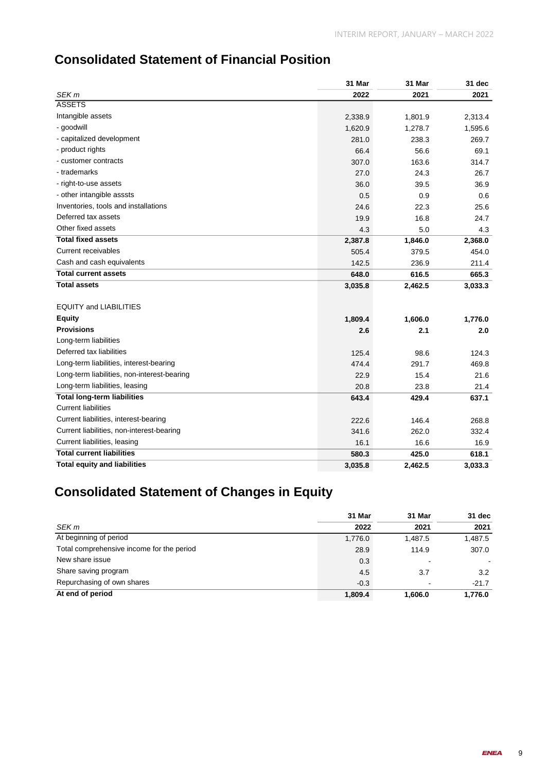### **Consolidated Statement of Financial Position**

|                                             | 31 Mar  | 31 Mar  | 31 dec  |
|---------------------------------------------|---------|---------|---------|
| SEK <sub>m</sub>                            | 2022    | 2021    | 2021    |
| <b>ASSETS</b>                               |         |         |         |
| Intangible assets                           | 2,338.9 | 1,801.9 | 2,313.4 |
| - goodwill                                  | 1,620.9 | 1,278.7 | 1,595.6 |
| - capitalized development                   | 281.0   | 238.3   | 269.7   |
| - product rights                            | 66.4    | 56.6    | 69.1    |
| - customer contracts                        | 307.0   | 163.6   | 314.7   |
| - trademarks                                | 27.0    | 24.3    | 26.7    |
| - right-to-use assets                       | 36.0    | 39.5    | 36.9    |
| - other intangible asssts                   | 0.5     | 0.9     | 0.6     |
| Inventories, tools and installations        | 24.6    | 22.3    | 25.6    |
| Deferred tax assets                         | 19.9    | 16.8    | 24.7    |
| Other fixed assets                          | 4.3     | 5.0     | 4.3     |
| <b>Total fixed assets</b>                   | 2,387.8 | 1,846.0 | 2,368.0 |
| Current receivables                         | 505.4   | 379.5   | 454.0   |
| Cash and cash equivalents                   | 142.5   | 236.9   | 211.4   |
| <b>Total current assets</b>                 | 648.0   | 616.5   | 665.3   |
| <b>Total assets</b>                         | 3,035.8 | 2,462.5 | 3,033.3 |
| <b>EQUITY and LIABILITIES</b>               |         |         |         |
| <b>Equity</b>                               | 1,809.4 | 1,606.0 | 1,776.0 |
| <b>Provisions</b>                           | 2.6     | 2.1     | 2.0     |
| Long-term liabilities                       |         |         |         |
| Deferred tax liabilities                    | 125.4   | 98.6    | 124.3   |
| Long-term liabilities, interest-bearing     | 474.4   | 291.7   | 469.8   |
| Long-term liabilities, non-interest-bearing | 22.9    | 15.4    | 21.6    |
| Long-term liabilities, leasing              | 20.8    | 23.8    | 21.4    |
| <b>Total long-term liabilities</b>          | 643.4   | 429.4   | 637.1   |
| <b>Current liabilities</b>                  |         |         |         |
| Current liabilities, interest-bearing       | 222.6   | 146.4   | 268.8   |
| Current liabilities, non-interest-bearing   | 341.6   | 262.0   | 332.4   |
| Current liabilities, leasing                | 16.1    | 16.6    | 16.9    |
| <b>Total current liabilities</b>            | 580.3   | 425.0   | 618.1   |
| <b>Total equity and liabilities</b>         | 3,035.8 | 2,462.5 | 3,033.3 |

### **Consolidated Statement of Changes in Equity**

|                                           | 31 Mar  | 31 Mar  | 31 dec  |
|-------------------------------------------|---------|---------|---------|
| SEK m                                     | 2022    | 2021    | 2021    |
| At beginning of period                    | 1,776.0 | 1.487.5 | 1,487.5 |
| Total comprehensive income for the period | 28.9    | 114.9   | 307.0   |
| New share issue                           | 0.3     |         |         |
| Share saving program                      | 4.5     | 3.7     | 3.2     |
| Repurchasing of own shares                | $-0.3$  |         | $-21.7$ |
| At end of period                          | 1,809.4 | 1,606.0 | 1,776.0 |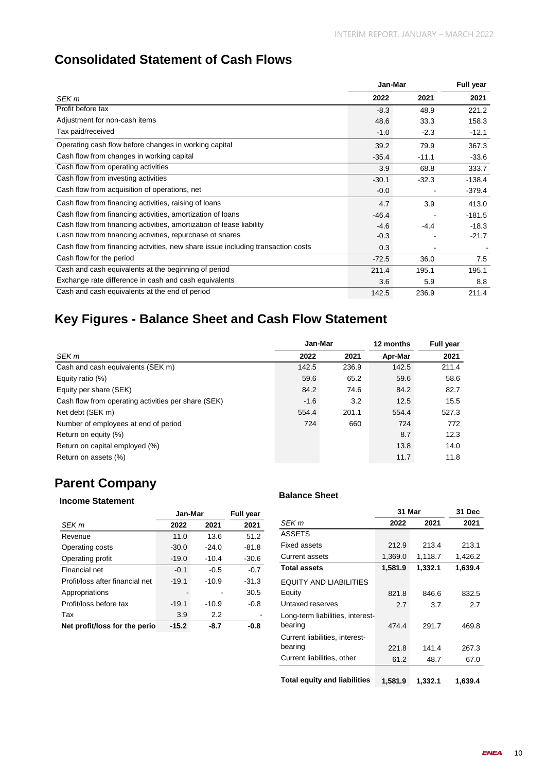### **Consolidated Statement of Cash Flows**

|                                                                                 |         | Jan-Mar |          |  |
|---------------------------------------------------------------------------------|---------|---------|----------|--|
| SEK m                                                                           | 2022    | 2021    | 2021     |  |
| Profit before tax                                                               | $-8.3$  | 48.9    | 221.2    |  |
| Adjustment for non-cash items                                                   | 48.6    | 33.3    | 158.3    |  |
| Tax paid/received                                                               | $-1.0$  | $-2.3$  | $-12.1$  |  |
| Operating cash flow before changes in working capital                           | 39.2    | 79.9    | 367.3    |  |
| Cash flow from changes in working capital                                       | $-35.4$ | $-11.1$ | $-33.6$  |  |
| Cash flow from operating activities                                             | 3.9     | 68.8    | 333.7    |  |
| Cash flow from investing activities                                             | $-30.1$ | $-32.3$ | $-138.4$ |  |
| Cash flow from acquisition of operations, net                                   | $-0.0$  |         | $-379.4$ |  |
| Cash flow from financing activities, raising of loans                           | 4.7     | 3.9     | 413.0    |  |
| Cash flow from financing activities, amortization of loans                      | $-46.4$ |         | $-181.5$ |  |
| Cash flow from financing activities, amortization of lease liability            | $-4.6$  | -4.4    | $-18.3$  |  |
| Cash flow from financing activities, repurchase of shares                       | $-0.3$  |         | $-21.7$  |  |
| Cash flow from financing actyities, new share issue including transaction costs | 0.3     |         |          |  |
| Cash flow for the period                                                        | $-72.5$ | 36.0    | 7.5      |  |
| Cash and cash equivalents at the beginning of period                            | 211.4   | 195.1   | 195.1    |  |
| Exchange rate difference in cash and cash equivalents                           | 3.6     | 5.9     | 8.8      |  |
| Cash and cash equivalents at the end of period                                  | 142.5   | 236.9   | 211.4    |  |

### **Key Figures - Balance Sheet and Cash Flow Statement**

|                                                     | Jan-Mar |       | 12 months | <b>Full year</b> |
|-----------------------------------------------------|---------|-------|-----------|------------------|
| SEK m                                               | 2022    | 2021  | Apr-Mar   | 2021             |
| Cash and cash equivalents (SEK m)                   | 142.5   | 236.9 | 142.5     | 211.4            |
| Equity ratio (%)                                    | 59.6    | 65.2  | 59.6      | 58.6             |
| Equity per share (SEK)                              | 84.2    | 74.6  | 84.2      | 82.7             |
| Cash flow from operating activities per share (SEK) | $-1.6$  | 3.2   | 12.5      | 15.5             |
| Net debt (SEK m)                                    | 554.4   | 201.1 | 554.4     | 527.3            |
| Number of employees at end of period                | 724     | 660   | 724       | 772              |
| Return on equity (%)                                |         |       | 8.7       | 12.3             |
| Return on capital employed (%)                      |         |       | 13.8      | 14.0             |
| Return on assets (%)                                |         |       | 11.7      | 11.8             |
|                                                     |         |       |           |                  |

### **Parent Company**

### **Income Statement Balance Sheet**

|                                 | Jan-Mar | <b>Full year</b> |         |
|---------------------------------|---------|------------------|---------|
| SEK <sub>m</sub>                | 2022    | 2021             | 2021    |
| Revenue                         | 11.0    | 13.6             | 51.2    |
| Operating costs                 | $-30.0$ | $-24.0$          | $-81.8$ |
| Operating profit                | $-19.0$ | $-10.4$          | $-30.6$ |
| Financial net                   | $-0.1$  | $-0.5$           | $-0.7$  |
| Profit/loss after financial net | $-19.1$ | $-10.9$          | $-31.3$ |
| Appropriations                  |         |                  | 30.5    |
| Profit/loss before tax          | $-19.1$ | $-10.9$          | $-0.8$  |
| Tax                             | 3.9     | 2.2              |         |
| Net profit/loss for the perio   | $-15.2$ | -8.7             | -0.8    |

| Jan-Mar |                  | <b>Full year</b> |                                     | 31 Mar  |         | 31 Dec  |
|---------|------------------|------------------|-------------------------------------|---------|---------|---------|
| 022     | 2021             | 2021             | SEK m                               | 2022    | 2021    | 2021    |
| 1.0     | 13.6             | 51.2             | <b>ASSETS</b>                       |         |         |         |
| 0.0     | $-24.0$          | $-81.8$          | Fixed assets                        | 212.9   | 213.4   | 213.1   |
| 9.0     | $-10.4$          | $-30.6$          | <b>Current assets</b>               | 1,369.0 | 1,118.7 | 1,426.2 |
| 0.1     | $-0.5$           | $-0.7$           | <b>Total assets</b>                 | 1,581.9 | 1,332.1 | 1,639.4 |
| 9.1     | $-10.9$          | $-31.3$          | <b>EQUITY AND LIABILITIES</b>       |         |         |         |
|         |                  | 30.5             | Equity                              | 821.8   | 846.6   | 832.5   |
| 9.1     | $-10.9$          | $-0.8$           | Untaxed reserves                    | 2.7     | 3.7     | 2.7     |
| 3.9     | $2.2\phantom{0}$ |                  | Long-term liabilities, interest-    |         |         |         |
| 5.2     | $-8.7$           | -0.8             | bearing                             | 474.4   | 291.7   | 469.8   |
|         |                  |                  | Current liabilities, interest-      |         |         |         |
|         |                  |                  | bearing                             | 221.8   | 141.4   | 267.3   |
|         |                  |                  | Current liabilities, other          | 61.2    | 48.7    | 67.0    |
|         |                  |                  | <b>Total equity and liabilities</b> | 1.581.9 | 1.332.1 | 1,639.4 |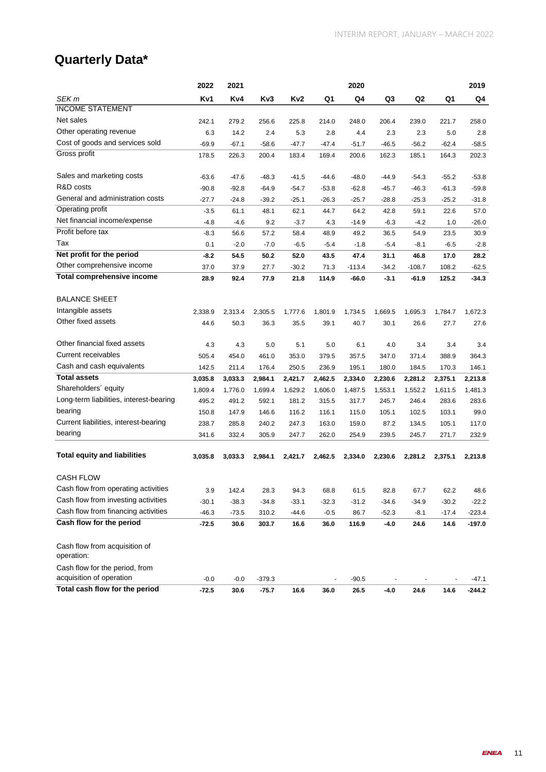### **Quarterly Data\***

|                                         | 2022    | 2021    |          |         |         | 2020     |         |          |         | 2019     |
|-----------------------------------------|---------|---------|----------|---------|---------|----------|---------|----------|---------|----------|
| SEK m                                   | Kv1     | Kv4     | Kv3      | Kv2     | Q1      | Q4       | Q3      | Q2       | Q1      | Q4       |
| <b>INCOME STATEMENT</b>                 |         |         |          |         |         |          |         |          |         |          |
| Net sales                               | 242.1   | 279.2   | 256.6    | 225.8   | 214.0   | 248.0    | 206.4   | 239.0    | 221.7   | 258.0    |
| Other operating revenue                 | 6.3     | 14.2    | 2.4      | 5.3     | 2.8     | 4.4      | 2.3     | 2.3      | 5.0     | 2.8      |
| Cost of goods and services sold         | $-69.9$ | $-67.1$ | $-58.6$  | $-47.7$ | $-47.4$ | $-51.7$  | $-46.5$ | $-56.2$  | $-62.4$ | -58.5    |
| Gross profit                            | 178.5   | 226.3   | 200.4    | 183.4   | 169.4   | 200.6    | 162.3   | 185.1    | 164.3   | 202.3    |
|                                         |         |         |          |         |         |          |         |          |         |          |
| Sales and marketing costs               | $-63.6$ | $-47.6$ | $-48.3$  | $-41.5$ | $-44.6$ | $-48.0$  | $-44.9$ | $-54.3$  | $-55.2$ | $-53.8$  |
| R&D costs                               | $-90.8$ | $-92.8$ | $-64.9$  | $-54.7$ | $-53.8$ | $-62.8$  | $-45.7$ | $-46.3$  | $-61.3$ | $-59.8$  |
| General and administration costs        | $-27.7$ | $-24.8$ | $-39.2$  | $-25.1$ | $-26.3$ | $-25.7$  | $-28.8$ | $-25.3$  | $-25.2$ | $-31.8$  |
| Operating profit                        | $-3.5$  | 61.1    | 48.1     | 62.1    | 44.7    | 64.2     | 42.8    | 59.1     | 22.6    | 57.0     |
| Net financial income/expense            | $-4.8$  | $-4.6$  | 9.2      | $-3.7$  | 4.3     | $-14.9$  | $-6.3$  | $-4.2$   | 1.0     | $-26.0$  |
| Profit before tax                       | $-8.3$  | 56.6    | 57.2     | 58.4    | 48.9    | 49.2     | 36.5    | 54.9     | 23.5    | 30.9     |
| Tax                                     | 0.1     | $-2.0$  | $-7.0$   | $-6.5$  | $-5.4$  | $-1.8$   | $-5.4$  | $-8.1$   | $-6.5$  | $-2.8$   |
| Net profit for the period               | $-8.2$  | 54.5    | 50.2     | 52.0    | 43.5    | 47.4     | 31.1    | 46.8     | 17.0    | 28.2     |
| Other comprehensive income              | 37.0    | 37.9    | 27.7     | $-30.2$ | 71.3    | $-113.4$ | $-34.2$ | $-108.7$ | 108.2   | $-62.5$  |
| <b>Total comprehensive income</b>       | 28.9    | 92.4    | 77.9     | 21.8    | 114.9   | $-66.0$  | $-3.1$  | -61.9    | 125.2   | $-34.3$  |
|                                         |         |         |          |         |         |          |         |          |         |          |
| <b>BALANCE SHEET</b>                    |         |         |          |         |         |          |         |          |         |          |
| Intangible assets                       | 2,338.9 | 2,313.4 | 2,305.5  | 1,777.6 | 1,801.9 | 1,734.5  | 1,669.5 | 1,695.3  | 1,784.7 | 1,672.3  |
| Other fixed assets                      | 44.6    | 50.3    | 36.3     | 35.5    | 39.1    | 40.7     | 30.1    | 26.6     | 27.7    | 27.6     |
|                                         |         |         |          |         |         |          |         |          |         |          |
| Other financial fixed assets            | 4.3     | 4.3     | 5.0      | 5.1     | 5.0     | 6.1      | 4.0     | 3.4      | 3.4     | 3.4      |
| Current receivables                     | 505.4   | 454.0   | 461.0    | 353.0   | 379.5   | 357.5    | 347.0   | 371.4    | 388.9   | 364.3    |
| Cash and cash equivalents               | 142.5   | 211.4   | 176.4    | 250.5   | 236.9   | 195.1    | 180.0   | 184.5    | 170.3   | 146.1    |
| <b>Total assets</b>                     | 3,035.8 | 3,033.3 | 2,984.1  | 2,421.7 | 2,462.5 | 2,334.0  | 2,230.6 | 2,281.2  | 2,375.1 | 2,213.8  |
| Shareholders' equity                    | 1,809.4 | 1,776.0 | 1,699.4  | 1,629.2 | 1,606.0 | 1,487.5  | 1,553.1 | 1,552.2  | 1,611.5 | 1,481.3  |
| Long-term liabilities, interest-bearing | 495.2   | 491.2   | 592.1    | 181.2   | 315.5   | 317.7    | 245.7   | 246.4    | 283.6   | 283.6    |
| bearing                                 | 150.8   | 147.9   | 146.6    | 116.2   | 116.1   | 115.0    | 105.1   | 102.5    | 103.1   | 99.0     |
| Current liabilities, interest-bearing   | 238.7   | 285.8   | 240.2    | 247.3   | 163.0   | 159.0    | 87.2    | 134.5    | 105.1   | 117.0    |
| bearing                                 | 341.6   | 332.4   | 305.9    | 247.7   | 262.0   | 254.9    | 239.5   | 245.7    | 271.7   | 232.9    |
|                                         |         |         |          |         |         |          |         |          |         |          |
| <b>Total equity and liabilities</b>     | 3,035.8 | 3,033.3 | 2,984.1  | 2,421.7 | 2,462.5 | 2,334.0  | 2,230.6 | 2,281.2  | 2,375.1 | 2,213.8  |
|                                         |         |         |          |         |         |          |         |          |         |          |
| <b>CASH FLOW</b>                        |         |         |          |         |         |          |         |          |         |          |
| Cash flow from operating activities     | 3.9     | 142.4   | 28.3     | 94.3    | 68.8    | 61.5     | 82.8    | 67.7     | 62.2    | 48.6     |
| Cash flow from investing activities     | $-30.1$ | $-38.3$ | $-34.8$  | $-33.1$ | $-32.3$ | $-31.2$  | $-34.6$ | $-34.9$  | $-30.2$ | $-22.2$  |
| Cash flow from financing activities     | $-46.3$ | $-73.5$ | 310.2    | $-44.6$ | $-0.5$  | 86.7     | $-52.3$ | $-8.1$   | $-17.4$ | $-223.4$ |
| Cash flow for the period                | $-72.5$ | 30.6    | 303.7    | 16.6    | 36.0    | 116.9    | -4.0    | 24.6     | 14.6    | $-197.0$ |
|                                         |         |         |          |         |         |          |         |          |         |          |
| Cash flow from acquisition of           |         |         |          |         |         |          |         |          |         |          |
| operation:                              |         |         |          |         |         |          |         |          |         |          |
| Cash flow for the period, from          |         |         |          |         |         |          |         |          |         |          |
| acquisition of operation                | $-0.0$  | $-0.0$  | $-379.3$ |         |         | $-90.5$  | ÷,      |          |         | $-47.1$  |
| Total cash flow for the period          | $-72.5$ | 30.6    | $-75.7$  | 16.6    | 36.0    | 26.5     | -4.0    | 24.6     | 14.6    | $-244.2$ |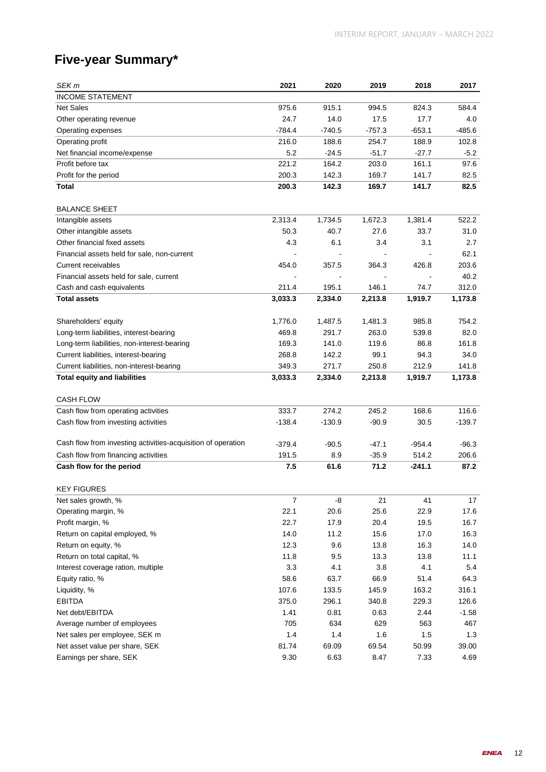### **Five-year Summary\***

| SEK <sub>m</sub>                                             | 2021             | 2020     | 2019     | 2018     | 2017     |
|--------------------------------------------------------------|------------------|----------|----------|----------|----------|
| <b>INCOME STATEMENT</b>                                      |                  |          |          |          |          |
| <b>Net Sales</b>                                             | 975.6            | 915.1    | 994.5    | 824.3    | 584.4    |
| Other operating revenue                                      | 24.7             | 14.0     | 17.5     | 17.7     | 4.0      |
| Operating expenses                                           | $-784.4$         | $-740.5$ | $-757.3$ | $-653.1$ | $-485.6$ |
| Operating profit                                             | 216.0            | 188.6    | 254.7    | 188.9    | 102.8    |
| Net financial income/expense                                 | 5.2              | $-24.5$  | $-51.7$  | $-27.7$  | -5.2     |
| Profit before tax                                            | 221.2            | 164.2    | 203.0    | 161.1    | 97.6     |
| Profit for the period                                        | 200.3            | 142.3    | 169.7    | 141.7    | 82.5     |
| Total                                                        | 200.3            | 142.3    | 169.7    | 141.7    | 82.5     |
|                                                              |                  |          |          |          |          |
| <b>BALANCE SHEET</b>                                         |                  |          |          |          |          |
| Intangible assets                                            | 2,313.4          | 1,734.5  | 1,672.3  | 1,381.4  | 522.2    |
| Other intangible assets                                      | 50.3             | 40.7     | 27.6     | 33.7     | 31.0     |
| Other financial fixed assets                                 | 4.3              | 6.1      | 3.4      | 3.1      | 2.7      |
| Financial assets held for sale, non-current                  |                  |          |          |          | 62.1     |
| Current receivables                                          | 454.0            | 357.5    | 364.3    | 426.8    | 203.6    |
| Financial assets held for sale, current                      |                  |          |          |          | 40.2     |
| Cash and cash equivalents                                    | 211.4            | 195.1    | 146.1    | 74.7     | 312.0    |
| <b>Total assets</b>                                          | 3,033.3          | 2,334.0  | 2,213.8  | 1,919.7  | 1,173.8  |
|                                                              |                  |          |          |          |          |
| Shareholders' equity                                         | 1,776.0          | 1,487.5  | 1,481.3  | 985.8    | 754.2    |
| Long-term liabilities, interest-bearing                      | 469.8            | 291.7    | 263.0    | 539.8    | 82.0     |
| Long-term liabilities, non-interest-bearing                  | 169.3            | 141.0    | 119.6    | 86.8     | 161.8    |
| Current liabilities, interest-bearing                        | 268.8            | 142.2    | 99.1     | 94.3     | 34.0     |
| Current liabilities, non-interest-bearing                    | 349.3            | 271.7    | 250.8    | 212.9    | 141.8    |
| <b>Total equity and liabilities</b>                          | 3,033.3          | 2,334.0  | 2,213.8  | 1,919.7  | 1,173.8  |
|                                                              |                  |          |          |          |          |
| <b>CASH FLOW</b>                                             |                  |          |          |          |          |
| Cash flow from operating activities                          | 333.7            | 274.2    | 245.2    | 168.6    | 116.6    |
| Cash flow from investing activities                          | $-138.4$         | $-130.9$ | $-90.9$  | 30.5     | $-139.7$ |
|                                                              |                  |          |          |          |          |
| Cash flow from investing activities-acquisition of operation | $-379.4$         | $-90.5$  | -47.1    | -954.4   | $-96.3$  |
| Cash flow from financing activities                          | 191.5            | 8.9      | $-35.9$  | 514.2    | 206.6    |
| Cash flow for the period                                     | 7.5              | 61.6     | 71.2     | $-241.1$ | 87.2     |
| <b>KEY FIGURES</b>                                           |                  |          |          |          |          |
| Net sales growth, %                                          | $\boldsymbol{7}$ | -8       | 21       | 41       | 17       |
| Operating margin, %                                          | 22.1             | 20.6     | 25.6     | 22.9     | 17.6     |
| Profit margin, %                                             | 22.7             | 17.9     | 20.4     | 19.5     | 16.7     |
| Return on capital employed, %                                | 14.0             | 11.2     | 15.6     | 17.0     | 16.3     |
| Return on equity, %                                          | 12.3             | 9.6      | 13.8     | 16.3     | 14.0     |
| Return on total capital, %                                   | 11.8             | 9.5      | 13.3     | 13.8     | 11.1     |
| Interest coverage ration, multiple                           | 3.3              | 4.1      | 3.8      | 4.1      | 5.4      |
| Equity ratio, %                                              | 58.6             | 63.7     | 66.9     | 51.4     | 64.3     |
| Liquidity, %                                                 | 107.6            | 133.5    | 145.9    | 163.2    | 316.1    |
| <b>EBITDA</b>                                                | 375.0            | 296.1    | 340.8    | 229.3    | 126.6    |
| Net debt/EBITDA                                              | 1.41             | 0.81     | 0.63     | 2.44     | $-1.58$  |
| Average number of employees                                  | 705              | 634      | 629      | 563      | 467      |
| Net sales per employee, SEK m                                | 1.4              | 1.4      | 1.6      | 1.5      | 1.3      |
| Net asset value per share, SEK                               | 81.74            | 69.09    | 69.54    | 50.99    | 39.00    |
| Earnings per share, SEK                                      | 9.30             | 6.63     | 8.47     | 7.33     | 4.69     |
|                                                              |                  |          |          |          |          |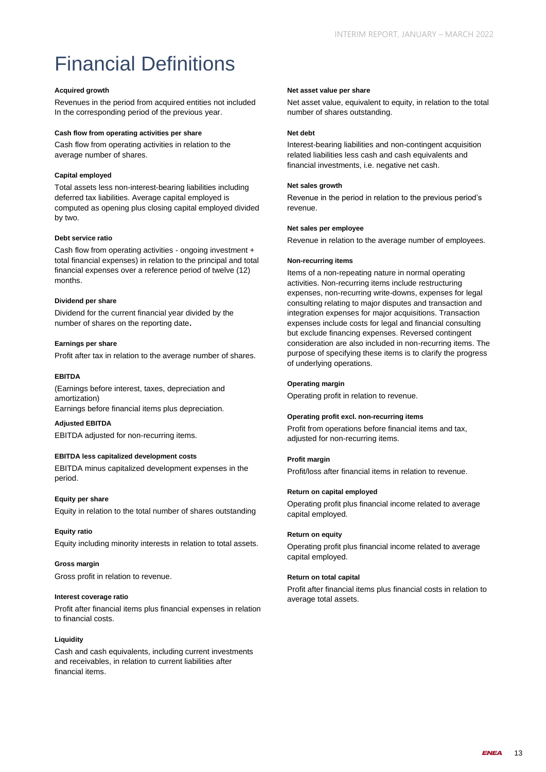# Financial Definitions

### **Acquired growth**

Revenues in the period from acquired entities not included In the corresponding period of the previous year.

### **Cash flow from operating activities per share**

Cash flow from operating activities in relation to the average number of shares.

### **Capital employed**

Total assets less non-interest-bearing liabilities including deferred tax liabilities. Average capital employed is computed as opening plus closing capital employed divided by two.

### **Debt service ratio**

Cash flow from operating activities - ongoing investment + total financial expenses) in relation to the principal and total financial expenses over a reference period of twelve (12) months.

### **Dividend per share**

Dividend for the current financial year divided by the number of shares on the reporting date**.**

### **Earnings per share**

Profit after tax in relation to the average number of shares.

### **EBITDA**

(Earnings before interest, taxes, depreciation and amortization)

Earnings before financial items plus depreciation.

**Adjusted EBITDA** EBITDA adjusted for non-recurring items.

### **EBITDA less capitalized development costs**

EBITDA minus capitalized development expenses in the period.

### **Equity per share**

Equity in relation to the total number of shares outstanding

### **Equity ratio**

Equity including minority interests in relation to total assets.

#### **Gross margin**

Gross profit in relation to revenue.

#### **Interest coverage ratio**

Profit after financial items plus financial expenses in relation to financial costs.

#### **Liquidity**

Cash and cash equivalents, including current investments and receivables, in relation to current liabilities after financial items.

#### **Net asset value per share**

Net asset value, equivalent to equity, in relation to the total number of shares outstanding.

#### **Net debt**

Interest-bearing liabilities and non-contingent acquisition related liabilities less cash and cash equivalents and financial investments, i.e. negative net cash.

#### **Net sales growth**

Revenue in the period in relation to the previous period's revenue.

#### **Net sales per employee**

Revenue in relation to the average number of employees.

#### **Non-recurring items**

Items of a non-repeating nature in normal operating activities. Non-recurring items include restructuring expenses, non-recurring write-downs, expenses for legal consulting relating to major disputes and transaction and integration expenses for major acquisitions. Transaction expenses include costs for legal and financial consulting but exclude financing expenses. Reversed contingent consideration are also included in non-recurring items. The purpose of specifying these items is to clarify the progress of underlying operations.

### **Operating margin**

Operating profit in relation to revenue.

#### **Operating profit excl. non-recurring items**

Profit from operations before financial items and tax, adjusted for non-recurring items.

### **Profit margin**

Profit/loss after financial items in relation to revenue.

#### **Return on capital employed**

Operating profit plus financial income related to average capital employed.

### **Return on equity**

Operating profit plus financial income related to average capital employed.

### **Return on total capital**

Profit after financial items plus financial costs in relation to average total assets.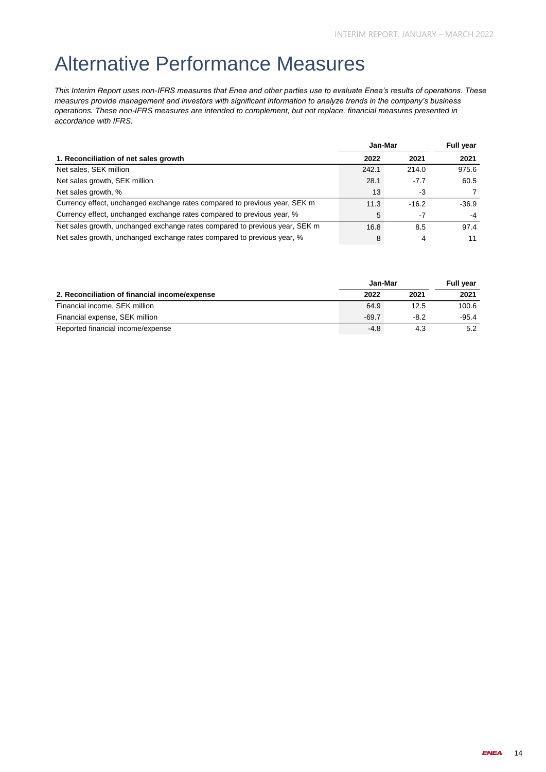### Alternative Performance Measures

*This Interim Report uses non-IFRS measures that Enea and other parties use to evaluate Enea's results of operations. These measures provide management and investors with significant information to analyze trends in the company's business operations. These non-IFRS measures are intended to complement, but not replace, financial measures presented in accordance with IFRS.*

|                                                                             | Jan-Mar |         | <b>Full year</b> |
|-----------------------------------------------------------------------------|---------|---------|------------------|
| 1. Reconciliation of net sales growth                                       | 2022    | 2021    | 2021             |
| Net sales, SEK million                                                      | 242.1   | 214.0   | 975.6            |
| Net sales growth, SEK million                                               | 28.1    | $-7.7$  | 60.5             |
| Net sales growth, %                                                         | 13      | -3      |                  |
| Currency effect, unchanged exchange rates compared to previous year, SEK m  | 11.3    | $-16.2$ | $-36.9$          |
| Currency effect, unchanged exchange rates compared to previous year, %      | 5       | $-7$    | $-4$             |
| Net sales growth, unchanged exchange rates compared to previous year, SEK m | 16.8    | 8.5     | 97.4             |
| Net sales growth, unchanged exchange rates compared to previous year, %     | 8       | 4       | 11               |

|                                               | Jan-Mar |        | <b>Full vear</b> |
|-----------------------------------------------|---------|--------|------------------|
| 2. Reconciliation of financial income/expense | 2022    | 2021   | 2021             |
| Financial income, SEK million                 | 64.9    | 12.5   | 100.6            |
| Financial expense, SEK million                | $-69.7$ | $-8.2$ | $-95.4$          |
| Reported financial income/expense             | $-4.8$  | 4.3    | 5.2              |